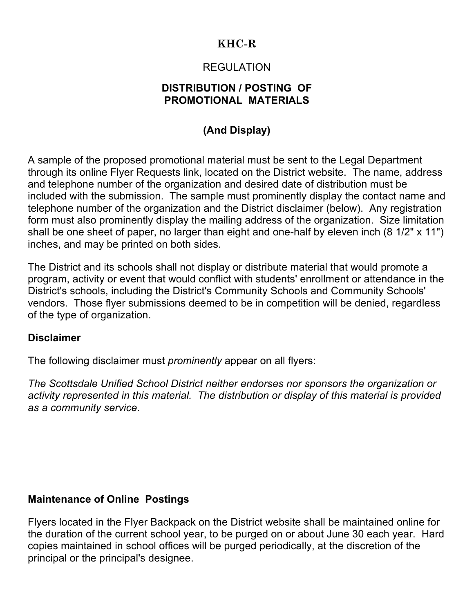# **KHC-R**

### REGULATION

### **DISTRIBUTION / POSTING OF PROMOTIONAL MATERIALS**

# **(And Display)**

A sample of the proposed promotional material must be sent to the Legal Department through its online Flyer Requests link, located on the District website. The name, address and telephone number of the organization and desired date of distribution must be included with the submission. The sample must prominently display the contact name and telephone number of the organization and the District disclaimer (below). Any registration form must also prominently display the mailing address of the organization. Size limitation shall be one sheet of paper, no larger than eight and one-half by eleven inch (8 1/2" x 11") inches, and may be printed on both sides.

The District and its schools shall not display or distribute material that would promote a program, activity or event that would conflict with students' enrollment or attendance in the District's schools, including the District's Community Schools and Community Schools' vendors. Those flyer submissions deemed to be in competition will be denied, regardless of the type of organization.

#### **Disclaimer**

The following disclaimer must *prominently* appear on all flyers:

*The Scottsdale Unified School District neither endorses nor sponsors the organization or activity represented in this material. The distribution or display of this material is provided as a community service*.

### **Maintenance of Online Postings**

Flyers located in the Flyer Backpack on the District website shall be maintained online for the duration of the current school year, to be purged on or about June 30 each year. Hard copies maintained in school offices will be purged periodically, at the discretion of the principal or the principal's designee.